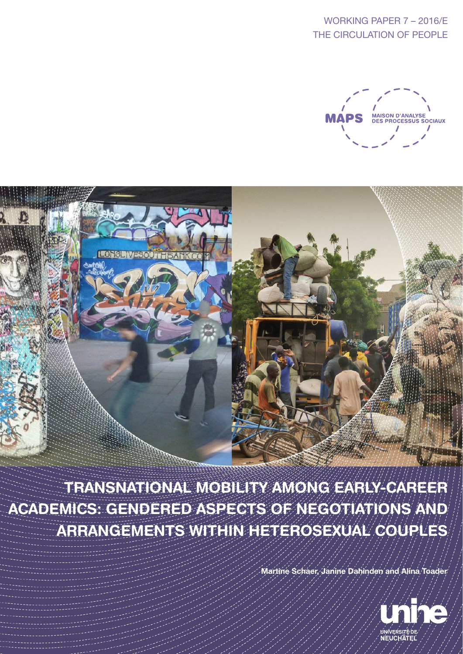WORKING PAPER 7 – 2016/E THE CIRCULATION OF PEOPLE



TRANSNATIONAL MOBILITY AMONG EARLY-CAREER ACADEMICS: GENDERED ASPECTS OF NEGOTIATIONS AND ARRANGEMENTS WITHIN HETEROSEXUAL COUPLES

Martine Schaer, Janine Dahinden and Alina Toader

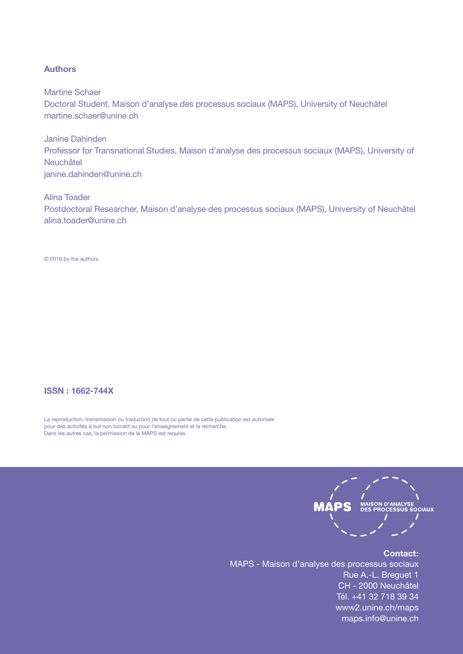#### Authors

Martine Schaer Doctoral Student, Maison d'analyse des processus sociaux (MAPS), University of Neuchâtel martine.schaer@unine.ch

Janine Dahinden Professor for Transnational Studies, Maison d'analyse des processus sociaux (MAPS), University of Neuchâtel janine.dahinden@unine.ch

Alina Toader Postdoctoral Researcher, Maison d'analyse des processus sociaux (MAPS), University of Neuchâtel alina.toader@unine.ch

© 2016 by the authors

#### ISSN : 1662-744X

La reproduction, transmission ou traduction de tout ou partie de cette publication est autorisée pour des activités à but non lucratif ou pour l'enseignement et la recherche. Dans les autres cas, la permission de la MAPS est requise.



## Contact: MAPS - Maison d'analyse des processus sociaux Rue A.-L. Breguet 1 CH - 2000 Neuchâtel Tél. +41 32 718 39 34 www2.unine.ch/maps maps.info@unine.ch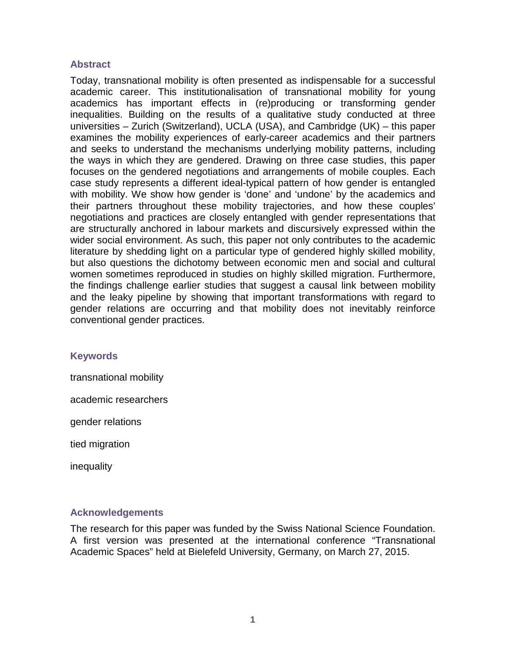## **Abstract**

Today, transnational mobility is often presented as indispensable for a successful academic career. This institutionalisation of transnational mobility for young academics has important effects in (re)producing or transforming gender inequalities. Building on the results of a qualitative study conducted at three universities – Zurich (Switzerland), UCLA (USA), and Cambridge (UK) – this paper examines the mobility experiences of early-career academics and their partners and seeks to understand the mechanisms underlying mobility patterns, including the ways in which they are gendered. Drawing on three case studies, this paper focuses on the gendered negotiations and arrangements of mobile couples. Each case study represents a different ideal-typical pattern of how gender is entangled with mobility. We show how gender is 'done' and 'undone' by the academics and their partners throughout these mobility trajectories, and how these couples' negotiations and practices are closely entangled with gender representations that are structurally anchored in labour markets and discursively expressed within the wider social environment. As such, this paper not only contributes to the academic literature by shedding light on a particular type of gendered highly skilled mobility, but also questions the dichotomy between economic men and social and cultural women sometimes reproduced in studies on highly skilled migration. Furthermore, the findings challenge earlier studies that suggest a causal link between mobility and the leaky pipeline by showing that important transformations with regard to gender relations are occurring and that mobility does not inevitably reinforce conventional gender practices.

### **Keywords**

transnational mobility

academic researchers

gender relations

tied migration

inequality

# **Acknowledgements**

The research for this paper was funded by the Swiss National Science Foundation. A first version was presented at the international conference "Transnational Academic Spaces" held at Bielefeld University, Germany, on March 27, 2015.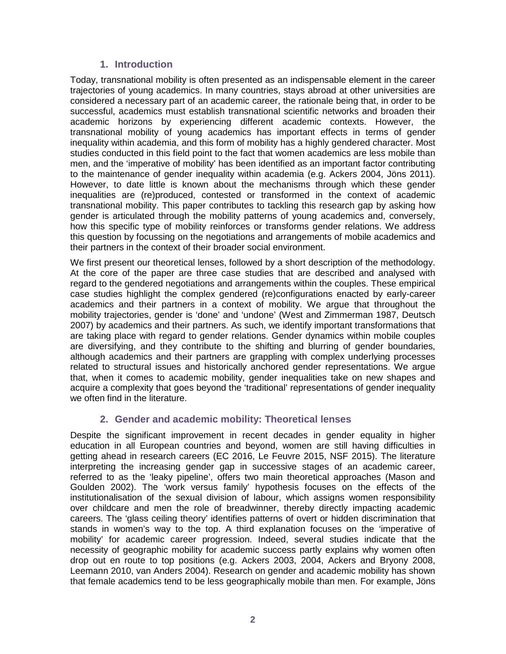## **1. Introduction**

Today, transnational mobility is often presented as an indispensable element in the career trajectories of young academics. In many countries, stays abroad at other universities are considered a necessary part of an academic career, the rationale being that, in order to be successful, academics must establish transnational scientific networks and broaden their academic horizons by experiencing different academic contexts. However, the transnational mobility of young academics has important effects in terms of gender inequality within academia, and this form of mobility has a highly gendered character. Most studies conducted in this field point to the fact that women academics are less mobile than men, and the 'imperative of mobility' has been identified as an important factor contributing to the maintenance of gender inequality within academia (e.g. Ackers 2004, Jöns 2011). However, to date little is known about the mechanisms through which these gender inequalities are (re)produced, contested or transformed in the context of academic transnational mobility. This paper contributes to tackling this research gap by asking how gender is articulated through the mobility patterns of young academics and, conversely, how this specific type of mobility reinforces or transforms gender relations. We address this question by focussing on the negotiations and arrangements of mobile academics and their partners in the context of their broader social environment.

We first present our theoretical lenses, followed by a short description of the methodology. At the core of the paper are three case studies that are described and analysed with regard to the gendered negotiations and arrangements within the couples. These empirical case studies highlight the complex gendered (re)configurations enacted by early-career academics and their partners in a context of mobility. We argue that throughout the mobility trajectories, gender is 'done' and 'undone' (West and Zimmerman 1987, Deutsch 2007) by academics and their partners. As such, we identify important transformations that are taking place with regard to gender relations. Gender dynamics within mobile couples are diversifying, and they contribute to the shifting and blurring of gender boundaries, although academics and their partners are grappling with complex underlying processes related to structural issues and historically anchored gender representations. We argue that, when it comes to academic mobility, gender inequalities take on new shapes and acquire a complexity that goes beyond the 'traditional' representations of gender inequality we often find in the literature.

# **2. Gender and academic mobility: Theoretical lenses**

Despite the significant improvement in recent decades in gender equality in higher education in all European countries and beyond, women are still having difficulties in getting ahead in research careers (EC 2016, Le Feuvre 2015, NSF 2015). The literature interpreting the increasing gender gap in successive stages of an academic career, referred to as the 'leaky pipeline', offers two main theoretical approaches (Mason and Goulden 2002). The 'work versus family' hypothesis focuses on the effects of the institutionalisation of the sexual division of labour, which assigns women responsibility over childcare and men the role of breadwinner, thereby directly impacting academic careers. The 'glass ceiling theory' identifies patterns of overt or hidden discrimination that stands in women's way to the top. A third explanation focuses on the 'imperative of mobility' for academic career progression. Indeed, several studies indicate that the necessity of geographic mobility for academic success partly explains why women often drop out en route to top positions (e.g. Ackers 2003, 2004, Ackers and Bryony 2008, Leemann 2010, van Anders 2004). Research on gender and academic mobility has shown that female academics tend to be less geographically mobile than men. For example, Jöns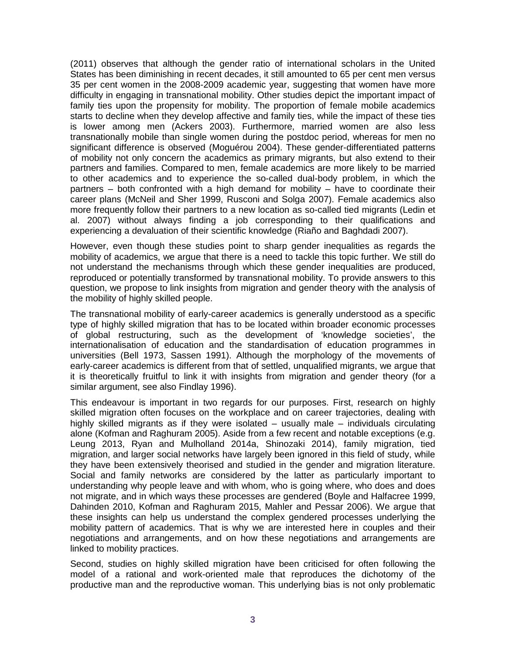(2011) observes that although the gender ratio of international scholars in the United States has been diminishing in recent decades, it still amounted to 65 per cent men versus 35 per cent women in the 2008-2009 academic year, suggesting that women have more difficulty in engaging in transnational mobility. Other studies depict the important impact of family ties upon the propensity for mobility. The proportion of female mobile academics starts to decline when they develop affective and family ties, while the impact of these ties is lower among men (Ackers 2003). Furthermore, married women are also less transnationally mobile than single women during the postdoc period, whereas for men no significant difference is observed (Moguérou 2004). These gender-differentiated patterns of mobility not only concern the academics as primary migrants, but also extend to their partners and families. Compared to men, female academics are more likely to be married to other academics and to experience the so-called dual-body problem, in which the partners – both confronted with a high demand for mobility – have to coordinate their career plans (McNeil and Sher 1999, Rusconi and Solga 2007). Female academics also more frequently follow their partners to a new location as so-called tied migrants (Ledin et al. 2007) without always finding a job corresponding to their qualifications and experiencing a devaluation of their scientific knowledge (Riaño and Baghdadi 2007).

However, even though these studies point to sharp gender inequalities as regards the mobility of academics, we argue that there is a need to tackle this topic further. We still do not understand the mechanisms through which these gender inequalities are produced, reproduced or potentially transformed by transnational mobility. To provide answers to this question, we propose to link insights from migration and gender theory with the analysis of the mobility of highly skilled people.

The transnational mobility of early-career academics is generally understood as a specific type of highly skilled migration that has to be located within broader economic processes of global restructuring, such as the development of 'knowledge societies', the internationalisation of education and the standardisation of education programmes in universities (Bell 1973, Sassen 1991). Although the morphology of the movements of early-career academics is different from that of settled, unqualified migrants, we argue that it is theoretically fruitful to link it with insights from migration and gender theory (for a similar argument, see also Findlay 1996).

This endeavour is important in two regards for our purposes. First, research on highly skilled migration often focuses on the workplace and on career trajectories, dealing with highly skilled migrants as if they were isolated – usually male – individuals circulating alone (Kofman and Raghuram 2005). Aside from a few recent and notable exceptions (e.g. Leung 2013, Ryan and Mulholland 2014a, Shinozaki 2014), family migration, tied migration, and larger social networks have largely been ignored in this field of study, while they have been extensively theorised and studied in the gender and migration literature. Social and family networks are considered by the latter as particularly important to understanding why people leave and with whom, who is going where, who does and does not migrate, and in which ways these processes are gendered (Boyle and Halfacree 1999, Dahinden 2010, Kofman and Raghuram 2015, Mahler and Pessar 2006). We argue that these insights can help us understand the complex gendered processes underlying the mobility pattern of academics. That is why we are interested here in couples and their negotiations and arrangements, and on how these negotiations and arrangements are linked to mobility practices.

Second, studies on highly skilled migration have been criticised for often following the model of a rational and work-oriented male that reproduces the dichotomy of the productive man and the reproductive woman. This underlying bias is not only problematic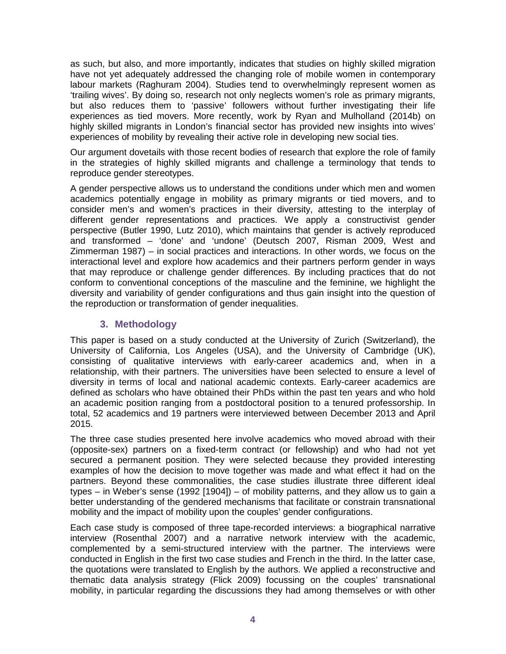as such, but also, and more importantly, indicates that studies on highly skilled migration have not yet adequately addressed the changing role of mobile women in contemporary labour markets (Raghuram 2004). Studies tend to overwhelmingly represent women as 'trailing wives'. By doing so, research not only neglects women's role as primary migrants, but also reduces them to 'passive' followers without further investigating their life experiences as tied movers. More recently, work by Ryan and Mulholland (2014b) on highly skilled migrants in London's financial sector has provided new insights into wives' experiences of mobility by revealing their active role in developing new social ties.

Our argument dovetails with those recent bodies of research that explore the role of family in the strategies of highly skilled migrants and challenge a terminology that tends to reproduce gender stereotypes.

A gender perspective allows us to understand the conditions under which men and women academics potentially engage in mobility as primary migrants or tied movers, and to consider men's and women's practices in their diversity, attesting to the interplay of different gender representations and practices. We apply a constructivist gender perspective (Butler 1990, Lutz 2010), which maintains that gender is actively reproduced and transformed – 'done' and 'undone' (Deutsch 2007, Risman 2009, West and Zimmerman 1987) – in social practices and interactions. In other words, we focus on the interactional level and explore how academics and their partners perform gender in ways that may reproduce or challenge gender differences. By including practices that do not conform to conventional conceptions of the masculine and the feminine, we highlight the diversity and variability of gender configurations and thus gain insight into the question of the reproduction or transformation of gender inequalities.

## **3. Methodology**

This paper is based on a study conducted at the University of Zurich (Switzerland), the University of California, Los Angeles (USA), and the University of Cambridge (UK), consisting of qualitative interviews with early-career academics and, when in a relationship, with their partners. The universities have been selected to ensure a level of diversity in terms of local and national academic contexts. Early-career academics are defined as scholars who have obtained their PhDs within the past ten years and who hold an academic position ranging from a postdoctoral position to a tenured professorship. In total, 52 academics and 19 partners were interviewed between December 2013 and April 2015.

The three case studies presented here involve academics who moved abroad with their (opposite-sex) partners on a fixed-term contract (or fellowship) and who had not yet secured a permanent position. They were selected because they provided interesting examples of how the decision to move together was made and what effect it had on the partners. Beyond these commonalities, the case studies illustrate three different ideal types – in Weber's sense (1992 [1904]) – of mobility patterns, and they allow us to gain a better understanding of the gendered mechanisms that facilitate or constrain transnational mobility and the impact of mobility upon the couples' gender configurations.

Each case study is composed of three tape-recorded interviews: a biographical narrative interview (Rosenthal 2007) and a narrative network interview with the academic, complemented by a semi-structured interview with the partner. The interviews were conducted in English in the first two case studies and French in the third. In the latter case, the quotations were translated to English by the authors. We applied a reconstructive and thematic data analysis strategy (Flick 2009) focussing on the couples' transnational mobility, in particular regarding the discussions they had among themselves or with other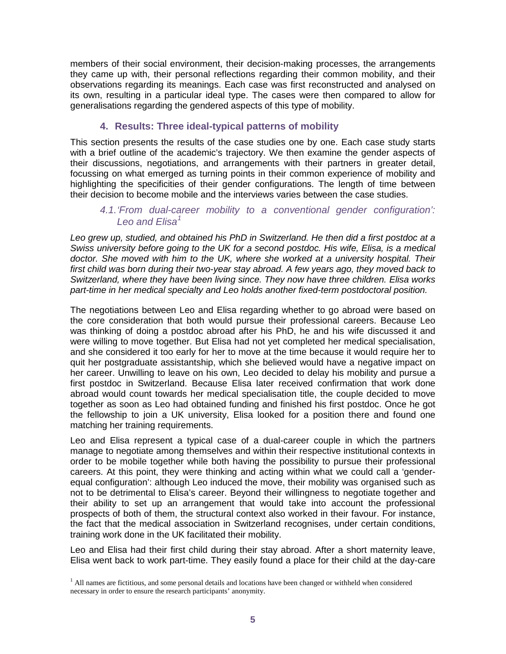members of their social environment, their decision-making processes, the arrangements they came up with, their personal reflections regarding their common mobility, and their observations regarding its meanings. Each case was first reconstructed and analysed on its own, resulting in a particular ideal type. The cases were then compared to allow for generalisations regarding the gendered aspects of this type of mobility.

# **4. Results: Three ideal-typical patterns of mobility**

This section presents the results of the case studies one by one. Each case study starts with a brief outline of the academic's trajectory. We then examine the gender aspects of their discussions, negotiations, and arrangements with their partners in greater detail, focussing on what emerged as turning points in their common experience of mobility and highlighting the specificities of their gender configurations. The length of time between their decision to become mobile and the interviews varies between the case studies.

#### *4.1.'From dual-career mobility to a conventional gender configuration': Leo and Elisa[1](#page-6-0)*

*Leo grew up, studied, and obtained his PhD in Switzerland. He then did a first postdoc at a Swiss university before going to the UK for a second postdoc. His wife, Elisa, is a medical*  doctor. She moved with him to the UK, where she worked at a university hospital. Their *first child was born during their two-year stay abroad. A few years ago, they moved back to Switzerland, where they have been living since. They now have three children. Elisa works part-time in her medical specialty and Leo holds another fixed-term postdoctoral position.*

The negotiations between Leo and Elisa regarding whether to go abroad were based on the core consideration that both would pursue their professional careers. Because Leo was thinking of doing a postdoc abroad after his PhD, he and his wife discussed it and were willing to move together. But Elisa had not yet completed her medical specialisation, and she considered it too early for her to move at the time because it would require her to quit her postgraduate assistantship, which she believed would have a negative impact on her career. Unwilling to leave on his own, Leo decided to delay his mobility and pursue a first postdoc in Switzerland. Because Elisa later received confirmation that work done abroad would count towards her medical specialisation title, the couple decided to move together as soon as Leo had obtained funding and finished his first postdoc. Once he got the fellowship to join a UK university, Elisa looked for a position there and found one matching her training requirements.

Leo and Elisa represent a typical case of a dual-career couple in which the partners manage to negotiate among themselves and within their respective institutional contexts in order to be mobile together while both having the possibility to pursue their professional careers. At this point, they were thinking and acting within what we could call a 'genderequal configuration': although Leo induced the move, their mobility was organised such as not to be detrimental to Elisa's career. Beyond their willingness to negotiate together and their ability to set up an arrangement that would take into account the professional prospects of both of them, the structural context also worked in their favour. For instance, the fact that the medical association in Switzerland recognises, under certain conditions, training work done in the UK facilitated their mobility.

Leo and Elisa had their first child during their stay abroad. After a short maternity leave, Elisa went back to work part-time. They easily found a place for their child at the day-care

<span id="page-6-0"></span> $<sup>1</sup>$  All names are fictitious, and some personal details and locations have been changed or withheld when considered</sup> necessary in order to ensure the research participants' anonymity.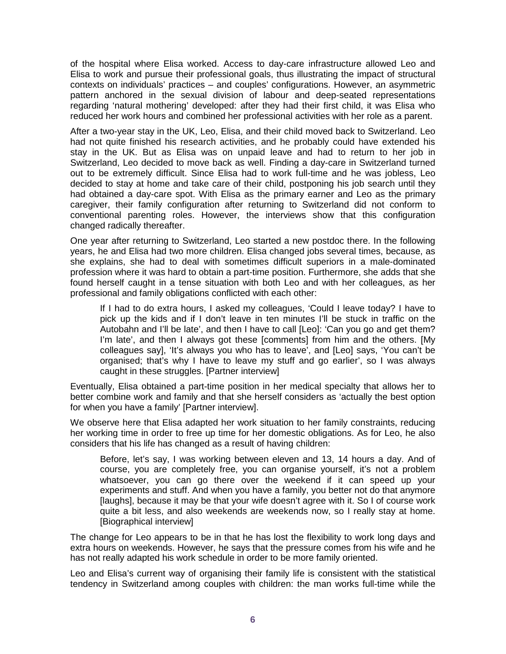of the hospital where Elisa worked. Access to day-care infrastructure allowed Leo and Elisa to work and pursue their professional goals, thus illustrating the impact of structural contexts on individuals' practices – and couples' configurations. However, an asymmetric pattern anchored in the sexual division of labour and deep-seated representations regarding 'natural mothering' developed: after they had their first child, it was Elisa who reduced her work hours and combined her professional activities with her role as a parent.

After a two-year stay in the UK, Leo, Elisa, and their child moved back to Switzerland. Leo had not quite finished his research activities, and he probably could have extended his stay in the UK. But as Elisa was on unpaid leave and had to return to her job in Switzerland, Leo decided to move back as well. Finding a day-care in Switzerland turned out to be extremely difficult. Since Elisa had to work full-time and he was jobless, Leo decided to stay at home and take care of their child, postponing his job search until they had obtained a day-care spot. With Elisa as the primary earner and Leo as the primary caregiver, their family configuration after returning to Switzerland did not conform to conventional parenting roles. However, the interviews show that this configuration changed radically thereafter.

One year after returning to Switzerland, Leo started a new postdoc there. In the following years, he and Elisa had two more children. Elisa changed jobs several times, because, as she explains, she had to deal with sometimes difficult superiors in a male-dominated profession where it was hard to obtain a part-time position. Furthermore, she adds that she found herself caught in a tense situation with both Leo and with her colleagues, as her professional and family obligations conflicted with each other:

If I had to do extra hours, I asked my colleagues, 'Could I leave today? I have to pick up the kids and if I don't leave in ten minutes I'll be stuck in traffic on the Autobahn and I'll be late', and then I have to call [Leo]: 'Can you go and get them? I'm late', and then I always got these [comments] from him and the others. [My colleagues say], 'It's always you who has to leave', and [Leo] says, 'You can't be organised; that's why I have to leave my stuff and go earlier', so I was always caught in these struggles. [Partner interview]

Eventually, Elisa obtained a part-time position in her medical specialty that allows her to better combine work and family and that she herself considers as 'actually the best option for when you have a family' [Partner interview].

We observe here that Elisa adapted her work situation to her family constraints, reducing her working time in order to free up time for her domestic obligations. As for Leo, he also considers that his life has changed as a result of having children:

Before, let's say, I was working between eleven and 13, 14 hours a day. And of course, you are completely free, you can organise yourself, it's not a problem whatsoever, you can go there over the weekend if it can speed up your experiments and stuff. And when you have a family, you better not do that anymore [laughs], because it may be that your wife doesn't agree with it. So I of course work quite a bit less, and also weekends are weekends now, so I really stay at home. [Biographical interview]

The change for Leo appears to be in that he has lost the flexibility to work long days and extra hours on weekends. However, he says that the pressure comes from his wife and he has not really adapted his work schedule in order to be more family oriented.

Leo and Elisa's current way of organising their family life is consistent with the statistical tendency in Switzerland among couples with children: the man works full-time while the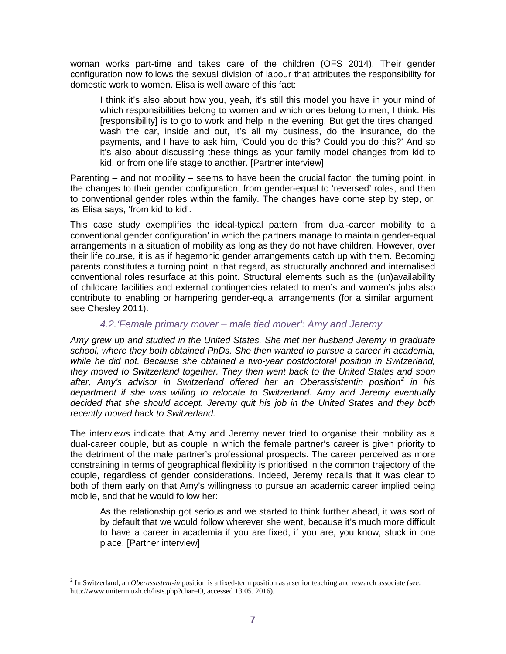woman works part-time and takes care of the children (OFS 2014). Their gender configuration now follows the sexual division of labour that attributes the responsibility for domestic work to women. Elisa is well aware of this fact:

I think it's also about how you, yeah, it's still this model you have in your mind of which responsibilities belong to women and which ones belong to men, I think. His [responsibility] is to go to work and help in the evening. But get the tires changed, wash the car, inside and out, it's all my business, do the insurance, do the payments, and I have to ask him, 'Could you do this? Could you do this?' And so it's also about discussing these things as your family model changes from kid to kid, or from one life stage to another. [Partner interview]

Parenting – and not mobility – seems to have been the crucial factor, the turning point, in the changes to their gender configuration, from gender-equal to 'reversed' roles, and then to conventional gender roles within the family. The changes have come step by step, or, as Elisa says, 'from kid to kid'.

This case study exemplifies the ideal-typical pattern 'from dual-career mobility to a conventional gender configuration' in which the partners manage to maintain gender-equal arrangements in a situation of mobility as long as they do not have children. However, over their life course, it is as if hegemonic gender arrangements catch up with them. Becoming parents constitutes a turning point in that regard, as structurally anchored and internalised conventional roles resurface at this point. Structural elements such as the (un)availability of childcare facilities and external contingencies related to men's and women's jobs also contribute to enabling or hampering gender-equal arrangements (for a similar argument, see Chesley 2011).

#### *4.2.'Female primary mover – male tied mover': Amy and Jeremy*

*Amy grew up and studied in the United States. She met her husband Jeremy in graduate school, where they both obtained PhDs. She then wanted to pursue a career in academia, while he did not. Because she obtained a two-year postdoctoral position in Switzerland, they moved to Switzerland together. They then went back to the United States and soon after, Amy's advisor in Switzerland offered her an Oberassistentin position[2](#page-8-0) in his department if she was willing to relocate to Switzerland. Amy and Jeremy eventually decided that she should accept. Jeremy quit his job in the United States and they both recently moved back to Switzerland.*

The interviews indicate that Amy and Jeremy never tried to organise their mobility as a dual-career couple, but as couple in which the female partner's career is given priority to the detriment of the male partner's professional prospects. The career perceived as more constraining in terms of geographical flexibility is prioritised in the common trajectory of the couple, regardless of gender considerations. Indeed, Jeremy recalls that it was clear to both of them early on that Amy's willingness to pursue an academic career implied being mobile, and that he would follow her:

As the relationship got serious and we started to think further ahead, it was sort of by default that we would follow wherever she went, because it's much more difficult to have a career in academia if you are fixed, if you are, you know, stuck in one place. [Partner interview]

<span id="page-8-0"></span><sup>2</sup> In Switzerland, an *Oberassistent-in* position is a fixed-term position as a senior teaching and research associate (see: http://www.uniterm.uzh.ch/lists.php?char=O, accessed 13.05. 2016).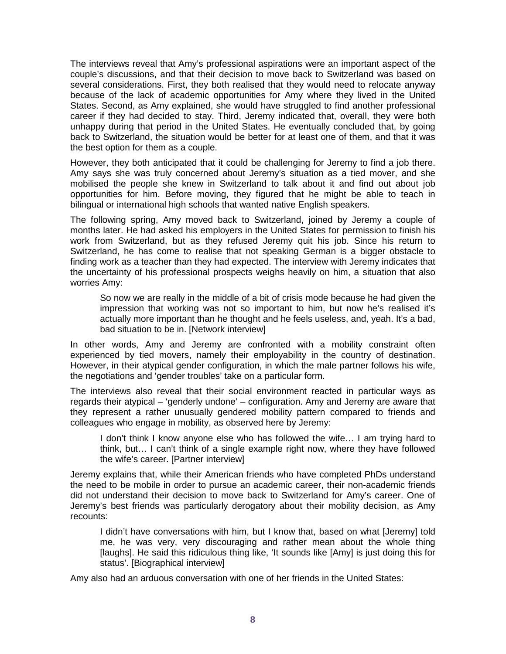The interviews reveal that Amy's professional aspirations were an important aspect of the couple's discussions, and that their decision to move back to Switzerland was based on several considerations. First, they both realised that they would need to relocate anyway because of the lack of academic opportunities for Amy where they lived in the United States. Second, as Amy explained, she would have struggled to find another professional career if they had decided to stay. Third, Jeremy indicated that, overall, they were both unhappy during that period in the United States. He eventually concluded that, by going back to Switzerland, the situation would be better for at least one of them, and that it was the best option for them as a couple.

However, they both anticipated that it could be challenging for Jeremy to find a job there. Amy says she was truly concerned about Jeremy's situation as a tied mover, and she mobilised the people she knew in Switzerland to talk about it and find out about job opportunities for him. Before moving, they figured that he might be able to teach in bilingual or international high schools that wanted native English speakers.

The following spring, Amy moved back to Switzerland, joined by Jeremy a couple of months later. He had asked his employers in the United States for permission to finish his work from Switzerland, but as they refused Jeremy quit his job. Since his return to Switzerland, he has come to realise that not speaking German is a bigger obstacle to finding work as a teacher than they had expected. The interview with Jeremy indicates that the uncertainty of his professional prospects weighs heavily on him, a situation that also worries Amy:

So now we are really in the middle of a bit of crisis mode because he had given the impression that working was not so important to him, but now he's realised it's actually more important than he thought and he feels useless, and, yeah. It's a bad, bad situation to be in. [Network interview]

In other words, Amy and Jeremy are confronted with a mobility constraint often experienced by tied movers, namely their employability in the country of destination. However, in their atypical gender configuration, in which the male partner follows his wife, the negotiations and 'gender troubles' take on a particular form.

The interviews also reveal that their social environment reacted in particular ways as regards their atypical – 'genderly undone' – configuration. Amy and Jeremy are aware that they represent a rather unusually gendered mobility pattern compared to friends and colleagues who engage in mobility, as observed here by Jeremy:

I don't think I know anyone else who has followed the wife… I am trying hard to think, but… I can't think of a single example right now, where they have followed the wife's career. [Partner interview]

Jeremy explains that, while their American friends who have completed PhDs understand the need to be mobile in order to pursue an academic career, their non-academic friends did not understand their decision to move back to Switzerland for Amy's career. One of Jeremy's best friends was particularly derogatory about their mobility decision, as Amy recounts:

I didn't have conversations with him, but I know that, based on what [Jeremy] told me, he was very, very discouraging and rather mean about the whole thing [laughs]. He said this ridiculous thing like, 'It sounds like [Amy] is just doing this for status'. [Biographical interview]

Amy also had an arduous conversation with one of her friends in the United States: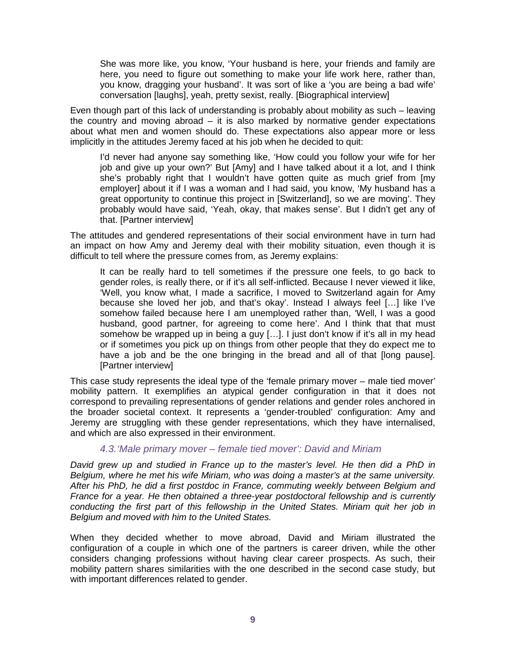She was more like, you know, 'Your husband is here, your friends and family are here, you need to figure out something to make your life work here, rather than, you know, dragging your husband'. It was sort of like a 'you are being a bad wife' conversation [laughs], yeah, pretty sexist, really. [Biographical interview]

Even though part of this lack of understanding is probably about mobility as such – leaving the country and moving abroad – it is also marked by normative gender expectations about what men and women should do. These expectations also appear more or less implicitly in the attitudes Jeremy faced at his job when he decided to quit:

I'd never had anyone say something like, 'How could you follow your wife for her job and give up your own?' But [Amy] and I have talked about it a lot, and I think she's probably right that I wouldn't have gotten quite as much grief from [my employer] about it if I was a woman and I had said, you know, 'My husband has a great opportunity to continue this project in [Switzerland], so we are moving'. They probably would have said, 'Yeah, okay, that makes sense'. But I didn't get any of that. [Partner interview]

The attitudes and gendered representations of their social environment have in turn had an impact on how Amy and Jeremy deal with their mobility situation, even though it is difficult to tell where the pressure comes from, as Jeremy explains:

It can be really hard to tell sometimes if the pressure one feels, to go back to gender roles, is really there, or if it's all self-inflicted. Because I never viewed it like, 'Well, you know what, I made a sacrifice, I moved to Switzerland again for Amy because she loved her job, and that's okay'. Instead I always feel […] like I've somehow failed because here I am unemployed rather than, 'Well, I was a good husband, good partner, for agreeing to come here'. And I think that that must somehow be wrapped up in being a guy  $[...]$ . I just don't know if it's all in my head or if sometimes you pick up on things from other people that they do expect me to have a job and be the one bringing in the bread and all of that [long pause]. [Partner interview]

This case study represents the ideal type of the 'female primary mover – male tied mover' mobility pattern. It exemplifies an atypical gender configuration in that it does not correspond to prevailing representations of gender relations and gender roles anchored in the broader societal context. It represents a 'gender-troubled' configuration: Amy and Jeremy are struggling with these gender representations, which they have internalised, and which are also expressed in their environment.

### *4.3.'Male primary mover – female tied mover': David and Miriam*

*David grew up and studied in France up to the master's level. He then did a PhD in Belgium, where he met his wife Miriam, who was doing a master's at the same university. After his PhD, he did a first postdoc in France, commuting weekly between Belgium and France for a year. He then obtained a three-year postdoctoral fellowship and is currently conducting the first part of this fellowship in the United States. Miriam quit her job in Belgium and moved with him to the United States.*

When they decided whether to move abroad, David and Miriam illustrated the configuration of a couple in which one of the partners is career driven, while the other considers changing professions without having clear career prospects. As such, their mobility pattern shares similarities with the one described in the second case study, but with important differences related to gender.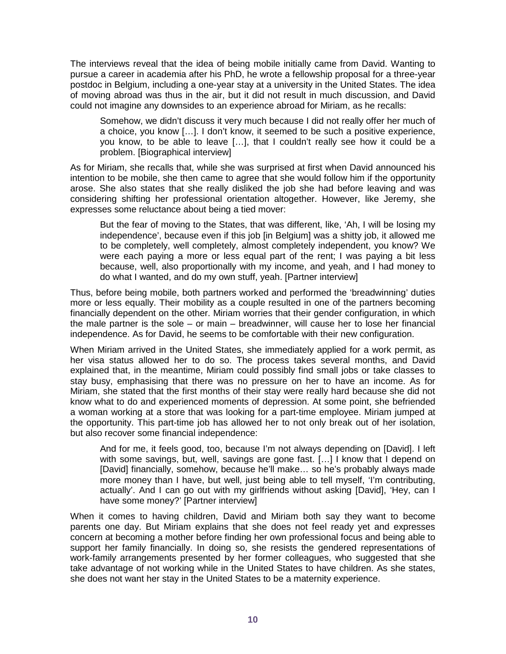The interviews reveal that the idea of being mobile initially came from David. Wanting to pursue a career in academia after his PhD, he wrote a fellowship proposal for a three-year postdoc in Belgium, including a one-year stay at a university in the United States. The idea of moving abroad was thus in the air, but it did not result in much discussion, and David could not imagine any downsides to an experience abroad for Miriam, as he recalls:

Somehow, we didn't discuss it very much because I did not really offer her much of a choice, you know […]. I don't know, it seemed to be such a positive experience, you know, to be able to leave […], that I couldn't really see how it could be a problem. [Biographical interview]

As for Miriam, she recalls that, while she was surprised at first when David announced his intention to be mobile, she then came to agree that she would follow him if the opportunity arose. She also states that she really disliked the job she had before leaving and was considering shifting her professional orientation altogether. However, like Jeremy, she expresses some reluctance about being a tied mover:

But the fear of moving to the States, that was different, like, 'Ah, I will be losing my independence', because even if this job [in Belgium] was a shitty job, it allowed me to be completely, well completely, almost completely independent, you know? We were each paying a more or less equal part of the rent; I was paying a bit less because, well, also proportionally with my income, and yeah, and I had money to do what I wanted, and do my own stuff, yeah. [Partner interview]

Thus, before being mobile, both partners worked and performed the 'breadwinning' duties more or less equally. Their mobility as a couple resulted in one of the partners becoming financially dependent on the other. Miriam worries that their gender configuration, in which the male partner is the sole – or main – breadwinner, will cause her to lose her financial independence. As for David, he seems to be comfortable with their new configuration.

When Miriam arrived in the United States, she immediately applied for a work permit, as her visa status allowed her to do so. The process takes several months, and David explained that, in the meantime, Miriam could possibly find small jobs or take classes to stay busy, emphasising that there was no pressure on her to have an income. As for Miriam, she stated that the first months of their stay were really hard because she did not know what to do and experienced moments of depression. At some point, she befriended a woman working at a store that was looking for a part-time employee. Miriam jumped at the opportunity. This part-time job has allowed her to not only break out of her isolation, but also recover some financial independence:

And for me, it feels good, too, because I'm not always depending on [David]. I left with some savings, but, well, savings are gone fast. [...] I know that I depend on [David] financially, somehow, because he'll make… so he's probably always made more money than I have, but well, just being able to tell myself, 'I'm contributing, actually'. And I can go out with my girlfriends without asking [David], 'Hey, can I have some money?' [Partner interview]

When it comes to having children, David and Miriam both say they want to become parents one day. But Miriam explains that she does not feel ready yet and expresses concern at becoming a mother before finding her own professional focus and being able to support her family financially. In doing so, she resists the gendered representations of work-family arrangements presented by her former colleagues, who suggested that she take advantage of not working while in the United States to have children. As she states, she does not want her stay in the United States to be a maternity experience.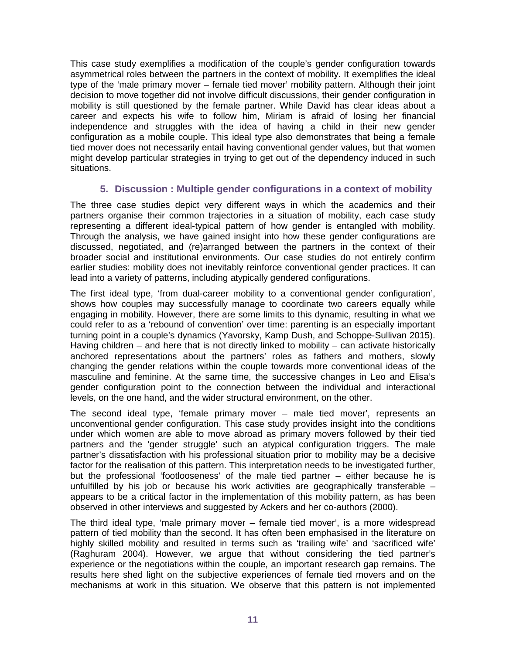This case study exemplifies a modification of the couple's gender configuration towards asymmetrical roles between the partners in the context of mobility. It exemplifies the ideal type of the 'male primary mover – female tied mover' mobility pattern. Although their joint decision to move together did not involve difficult discussions, their gender configuration in mobility is still questioned by the female partner. While David has clear ideas about a career and expects his wife to follow him, Miriam is afraid of losing her financial independence and struggles with the idea of having a child in their new gender configuration as a mobile couple. This ideal type also demonstrates that being a female tied mover does not necessarily entail having conventional gender values, but that women might develop particular strategies in trying to get out of the dependency induced in such situations.

## **5. Discussion : Multiple gender configurations in a context of mobility**

The three case studies depict very different ways in which the academics and their partners organise their common trajectories in a situation of mobility, each case study representing a different ideal-typical pattern of how gender is entangled with mobility. Through the analysis, we have gained insight into how these gender configurations are discussed, negotiated, and (re)arranged between the partners in the context of their broader social and institutional environments. Our case studies do not entirely confirm earlier studies: mobility does not inevitably reinforce conventional gender practices. It can lead into a variety of patterns, including atypically gendered configurations.

The first ideal type, 'from dual-career mobility to a conventional gender configuration', shows how couples may successfully manage to coordinate two careers equally while engaging in mobility. However, there are some limits to this dynamic, resulting in what we could refer to as a 'rebound of convention' over time: parenting is an especially important turning point in a couple's dynamics (Yavorsky, Kamp Dush, and Schoppe-Sullivan 2015). Having children – and here that is not directly linked to mobility – can activate historically anchored representations about the partners' roles as fathers and mothers, slowly changing the gender relations within the couple towards more conventional ideas of the masculine and feminine. At the same time, the successive changes in Leo and Elisa's gender configuration point to the connection between the individual and interactional levels, on the one hand, and the wider structural environment, on the other.

The second ideal type, 'female primary mover – male tied mover', represents an unconventional gender configuration. This case study provides insight into the conditions under which women are able to move abroad as primary movers followed by their tied partners and the 'gender struggle' such an atypical configuration triggers. The male partner's dissatisfaction with his professional situation prior to mobility may be a decisive factor for the realisation of this pattern. This interpretation needs to be investigated further, but the professional 'footlooseness' of the male tied partner – either because he is unfulfilled by his job or because his work activities are geographically transferable – appears to be a critical factor in the implementation of this mobility pattern, as has been observed in other interviews and suggested by Ackers and her co-authors (2000).

The third ideal type, 'male primary mover – female tied mover', is a more widespread pattern of tied mobility than the second. It has often been emphasised in the literature on highly skilled mobility and resulted in terms such as 'trailing wife' and 'sacrificed wife' (Raghuram 2004). However, we argue that without considering the tied partner's experience or the negotiations within the couple, an important research gap remains. The results here shed light on the subjective experiences of female tied movers and on the mechanisms at work in this situation. We observe that this pattern is not implemented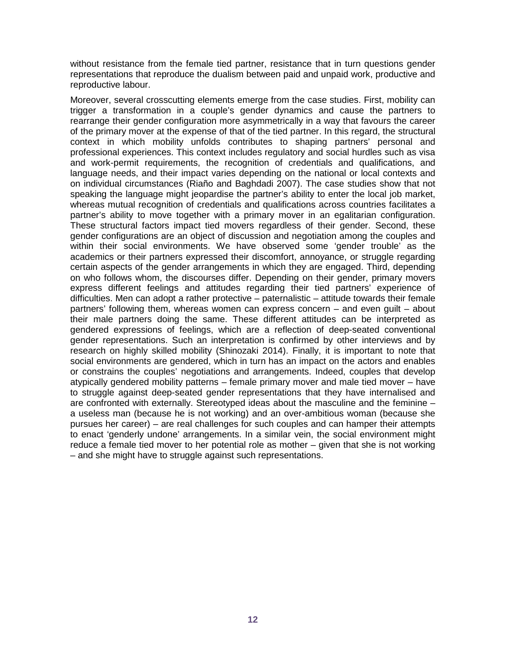without resistance from the female tied partner, resistance that in turn questions gender representations that reproduce the dualism between paid and unpaid work, productive and reproductive labour.

Moreover, several crosscutting elements emerge from the case studies. First, mobility can trigger a transformation in a couple's gender dynamics and cause the partners to rearrange their gender configuration more asymmetrically in a way that favours the career of the primary mover at the expense of that of the tied partner. In this regard, the structural context in which mobility unfolds contributes to shaping partners' personal and professional experiences. This context includes regulatory and social hurdles such as visa and work-permit requirements, the recognition of credentials and qualifications, and language needs, and their impact varies depending on the national or local contexts and on individual circumstances (Riaño and Baghdadi 2007). The case studies show that not speaking the language might jeopardise the partner's ability to enter the local job market, whereas mutual recognition of credentials and qualifications across countries facilitates a partner's ability to move together with a primary mover in an egalitarian configuration. These structural factors impact tied movers regardless of their gender. Second, these gender configurations are an object of discussion and negotiation among the couples and within their social environments. We have observed some 'gender trouble' as the academics or their partners expressed their discomfort, annoyance, or struggle regarding certain aspects of the gender arrangements in which they are engaged. Third, depending on who follows whom, the discourses differ. Depending on their gender, primary movers express different feelings and attitudes regarding their tied partners' experience of difficulties. Men can adopt a rather protective – paternalistic – attitude towards their female partners' following them, whereas women can express concern – and even guilt – about their male partners doing the same. These different attitudes can be interpreted as gendered expressions of feelings, which are a reflection of deep-seated conventional gender representations. Such an interpretation is confirmed by other interviews and by research on highly skilled mobility (Shinozaki 2014). Finally, it is important to note that social environments are gendered, which in turn has an impact on the actors and enables or constrains the couples' negotiations and arrangements. Indeed, couples that develop atypically gendered mobility patterns – female primary mover and male tied mover – have to struggle against deep-seated gender representations that they have internalised and are confronted with externally. Stereotyped ideas about the masculine and the feminine – a useless man (because he is not working) and an over-ambitious woman (because she pursues her career) – are real challenges for such couples and can hamper their attempts to enact 'genderly undone' arrangements. In a similar vein, the social environment might reduce a female tied mover to her potential role as mother – given that she is not working – and she might have to struggle against such representations.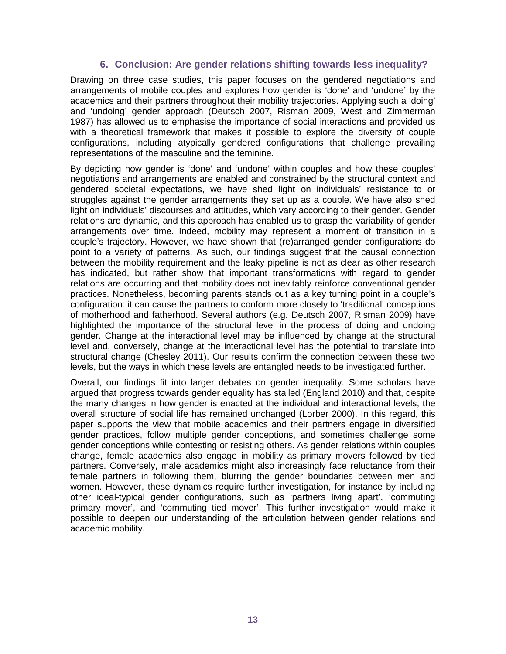## **6. Conclusion: Are gender relations shifting towards less inequality?**

Drawing on three case studies, this paper focuses on the gendered negotiations and arrangements of mobile couples and explores how gender is 'done' and 'undone' by the academics and their partners throughout their mobility trajectories. Applying such a 'doing' and 'undoing' gender approach (Deutsch 2007, Risman 2009, West and Zimmerman 1987) has allowed us to emphasise the importance of social interactions and provided us with a theoretical framework that makes it possible to explore the diversity of couple configurations, including atypically gendered configurations that challenge prevailing representations of the masculine and the feminine.

By depicting how gender is 'done' and 'undone' within couples and how these couples' negotiations and arrangements are enabled and constrained by the structural context and gendered societal expectations, we have shed light on individuals' resistance to or struggles against the gender arrangements they set up as a couple. We have also shed light on individuals' discourses and attitudes, which vary according to their gender. Gender relations are dynamic, and this approach has enabled us to grasp the variability of gender arrangements over time. Indeed, mobility may represent a moment of transition in a couple's trajectory. However, we have shown that (re)arranged gender configurations do point to a variety of patterns. As such, our findings suggest that the causal connection between the mobility requirement and the leaky pipeline is not as clear as other research has indicated, but rather show that important transformations with regard to gender relations are occurring and that mobility does not inevitably reinforce conventional gender practices. Nonetheless, becoming parents stands out as a key turning point in a couple's configuration: it can cause the partners to conform more closely to 'traditional' conceptions of motherhood and fatherhood. Several authors (e.g. Deutsch 2007, Risman 2009) have highlighted the importance of the structural level in the process of doing and undoing gender. Change at the interactional level may be influenced by change at the structural level and, conversely, change at the interactional level has the potential to translate into structural change (Chesley 2011). Our results confirm the connection between these two levels, but the ways in which these levels are entangled needs to be investigated further.

Overall, our findings fit into larger debates on gender inequality. Some scholars have argued that progress towards gender equality has stalled (England 2010) and that, despite the many changes in how gender is enacted at the individual and interactional levels, the overall structure of social life has remained unchanged (Lorber 2000). In this regard, this paper supports the view that mobile academics and their partners engage in diversified gender practices, follow multiple gender conceptions, and sometimes challenge some gender conceptions while contesting or resisting others. As gender relations within couples change, female academics also engage in mobility as primary movers followed by tied partners. Conversely, male academics might also increasingly face reluctance from their female partners in following them, blurring the gender boundaries between men and women. However, these dynamics require further investigation, for instance by including other ideal-typical gender configurations, such as 'partners living apart', 'commuting primary mover', and 'commuting tied mover'. This further investigation would make it possible to deepen our understanding of the articulation between gender relations and academic mobility.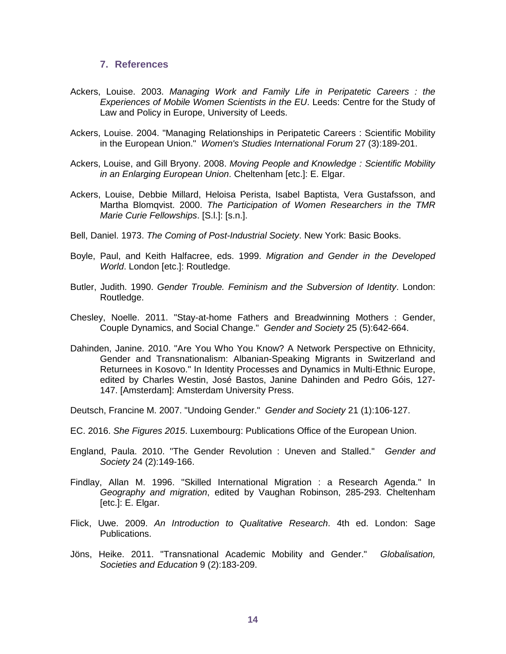#### **7. References**

- Ackers, Louise. 2003. *Managing Work and Family Life in Peripatetic Careers : the Experiences of Mobile Women Scientists in the EU*. Leeds: Centre for the Study of Law and Policy in Europe, University of Leeds.
- Ackers, Louise. 2004. "Managing Relationships in Peripatetic Careers : Scientific Mobility in the European Union." *Women's Studies International Forum* 27 (3):189-201.
- Ackers, Louise, and Gill Bryony. 2008. *Moving People and Knowledge : Scientific Mobility in an Enlarging European Union*. Cheltenham [etc.]: E. Elgar.
- Ackers, Louise, Debbie Millard, Heloisa Perista, Isabel Baptista, Vera Gustafsson, and Martha Blomqvist. 2000. *The Participation of Women Researchers in the TMR Marie Curie Fellowships*. [S.l.]: [s.n.].
- Bell, Daniel. 1973. *The Coming of Post-Industrial Society*. New York: Basic Books.
- Boyle, Paul, and Keith Halfacree, eds. 1999. *Migration and Gender in the Developed World*. London [etc.]: Routledge.
- Butler, Judith. 1990. *Gender Trouble. Feminism and the Subversion of Identity*. London: Routledge.
- Chesley, Noelle. 2011. "Stay-at-home Fathers and Breadwinning Mothers : Gender, Couple Dynamics, and Social Change." *Gender and Society* 25 (5):642-664.
- Dahinden, Janine. 2010. "Are You Who You Know? A Network Perspective on Ethnicity, Gender and Transnationalism: Albanian-Speaking Migrants in Switzerland and Returnees in Kosovo." In Identity Processes and Dynamics in Multi-Ethnic Europe, edited by Charles Westin, José Bastos, Janine Dahinden and Pedro Góis, 127- 147. [Amsterdam]: Amsterdam University Press.
- Deutsch, Francine M. 2007. "Undoing Gender." *Gender and Society* 21 (1):106-127.
- EC. 2016. *She Figures 2015*. Luxembourg: Publications Office of the European Union.
- England, Paula. 2010. "The Gender Revolution : Uneven and Stalled." *Gender and Society* 24 (2):149-166.
- Findlay, Allan M. 1996. "Skilled International Migration : a Research Agenda." In *Geography and migration*, edited by Vaughan Robinson, 285-293. Cheltenham [etc.]: E. Elgar.
- Flick, Uwe. 2009. *An Introduction to Qualitative Research*. 4th ed. London: Sage Publications.
- Jöns, Heike. 2011. "Transnational Academic Mobility and Gender." *Globalisation, Societies and Education* 9 (2):183-209.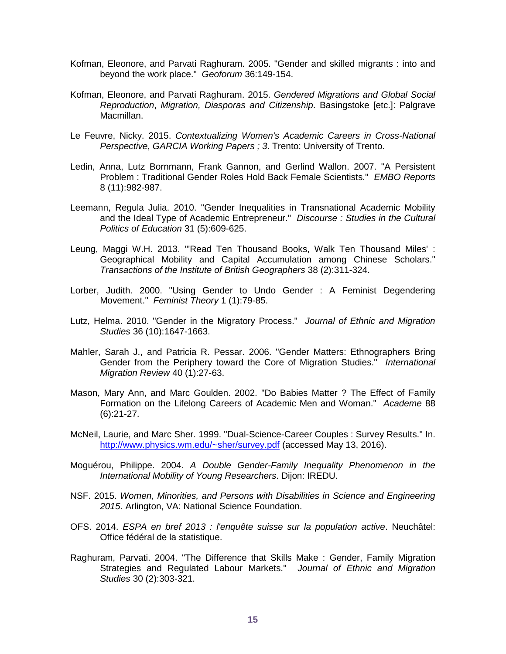- Kofman, Eleonore, and Parvati Raghuram. 2005. "Gender and skilled migrants : into and beyond the work place." *Geoforum* 36:149-154.
- Kofman, Eleonore, and Parvati Raghuram. 2015. *Gendered Migrations and Global Social Reproduction*, *Migration, Diasporas and Citizenship*. Basingstoke [etc.]: Palgrave Macmillan.
- Le Feuvre, Nicky. 2015. *Contextualizing Women's Academic Careers in Cross-National Perspective*, *GARCIA Working Papers ; 3*. Trento: University of Trento.
- Ledin, Anna, Lutz Bornmann, Frank Gannon, and Gerlind Wallon. 2007. "A Persistent Problem : Traditional Gender Roles Hold Back Female Scientists." *EMBO Reports* 8 (11):982-987.
- Leemann, Regula Julia. 2010. "Gender Inequalities in Transnational Academic Mobility and the Ideal Type of Academic Entrepreneur." *Discourse : Studies in the Cultural Politics of Education* 31 (5):609-625.
- Leung, Maggi W.H. 2013. "'Read Ten Thousand Books, Walk Ten Thousand Miles' : Geographical Mobility and Capital Accumulation among Chinese Scholars." *Transactions of the Institute of British Geographers* 38 (2):311-324.
- Lorber, Judith. 2000. "Using Gender to Undo Gender : A Feminist Degendering Movement." *Feminist Theory* 1 (1):79-85.
- Lutz, Helma. 2010. "Gender in the Migratory Process." *Journal of Ethnic and Migration Studies* 36 (10):1647-1663.
- Mahler, Sarah J., and Patricia R. Pessar. 2006. "Gender Matters: Ethnographers Bring Gender from the Periphery toward the Core of Migration Studies." *International Migration Review* 40 (1):27-63.
- Mason, Mary Ann, and Marc Goulden. 2002. "Do Babies Matter ? The Effect of Family Formation on the Lifelong Careers of Academic Men and Woman." *Academe* 88 (6):21-27.
- McNeil, Laurie, and Marc Sher. 1999. "Dual-Science-Career Couples : Survey Results." In. [http://www.physics.wm.edu/~sher/survey.pdf](http://www.physics.wm.edu/%7Esher/survey.pdf) (accessed May 13, 2016).
- Moguérou, Philippe. 2004. *A Double Gender-Family Inequality Phenomenon in the International Mobility of Young Researchers*. Dijon: IREDU.
- NSF. 2015. *Women, Minorities, and Persons with Disabilities in Science and Engineering 2015*. Arlington, VA: National Science Foundation.
- OFS. 2014. *ESPA en bref 2013 : l'enquête suisse sur la population active*. Neuchâtel: Office fédéral de la statistique.
- Raghuram, Parvati. 2004. "The Difference that Skills Make : Gender, Family Migration Strategies and Regulated Labour Markets." *Journal of Ethnic and Migration Studies* 30 (2):303-321.